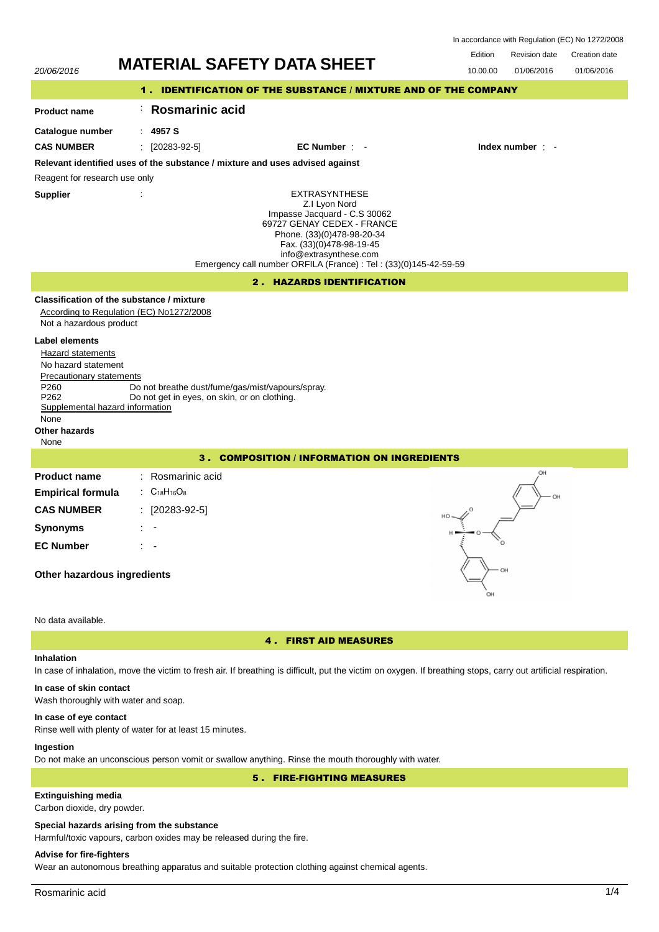| In accordance with Regulation (EC) No 1272/2008 |  |  |
|-------------------------------------------------|--|--|
|-------------------------------------------------|--|--|



**In case of skin contact**

## Wash thoroughly with water and soap.

## **In case of eye contact**

Rinse well with plenty of water for at least 15 minutes.

## **Ingestion**

Do not make an unconscious person vomit or swallow anything. Rinse the mouth thoroughly with water.

5 . FIRE-FIGHTING MEASURES

## **Extinguishing media**

Carbon dioxide, dry powder.

#### **Special hazards arising from the substance**

Harmful/toxic vapours, carbon oxides may be released during the fire.

## **Advise for fire-fighters**

Wear an autonomous breathing apparatus and suitable protection clothing against chemical agents.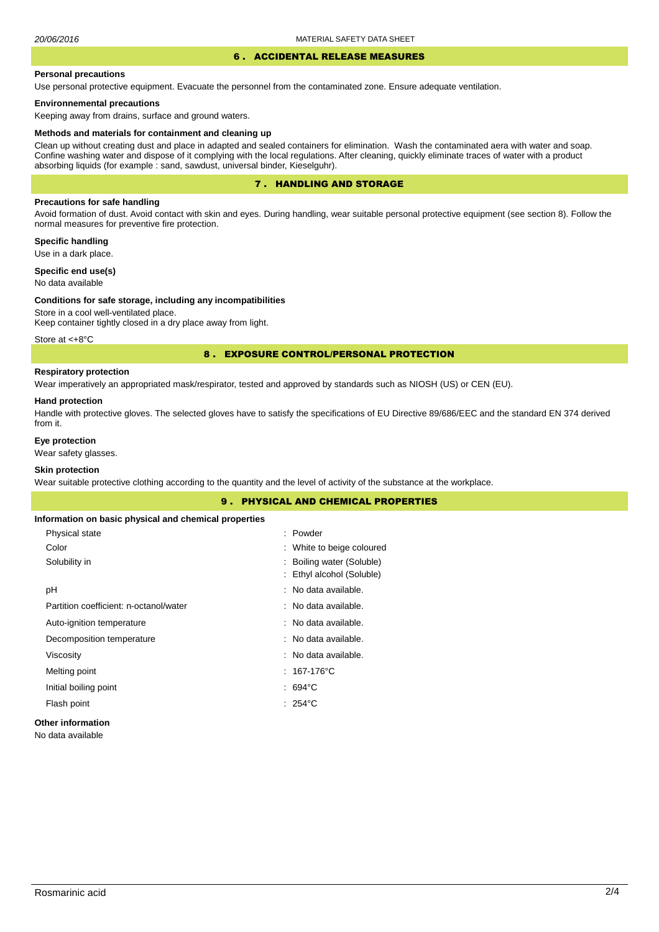#### 6 . ACCIDENTAL RELEASE MEASURES

#### **Personal precautions**

Use personal protective equipment. Evacuate the personnel from the contaminated zone. Ensure adequate ventilation.

#### **Environnemental precautions**

Keeping away from drains, surface and ground waters.

#### **Methods and materials for containment and cleaning up**

Clean up without creating dust and place in adapted and sealed containers for elimination. Wash the contaminated aera with water and soap. Confine washing water and dispose of it complying with the local regulations. After cleaning, quickly eliminate traces of water with a product absorbing liquids (for example : sand, sawdust, universal binder, Kieselguhr).

## 7 . HANDLING AND STORAGE

## **Precautions for safe handling**

Avoid formation of dust. Avoid contact with skin and eyes. During handling, wear suitable personal protective equipment (see section 8). Follow the normal measures for preventive fire protection.

## **Specific handling**

Use in a dark place.

## **Specific end use(s)**

No data available

#### **Conditions for safe storage, including any incompatibilities**

Store in a cool well-ventilated place. Keep container tightly closed in a dry place away from light.

Store at <+8°C

## 8 . EXPOSURE CONTROL/PERSONAL PROTECTION

## **Respiratory protection**

Wear imperatively an appropriated mask/respirator, tested and approved by standards such as NIOSH (US) or CEN (EU).

#### **Hand protection**

Handle with protective gloves. The selected gloves have to satisfy the specifications of EU Directive 89/686/EEC and the standard EN 374 derived from it.

## **Eye protection**

Wear safety glasses.

## **Skin protection**

Wear suitable protective clothing according to the quantity and the level of activity of the substance at the workplace.

# 9 . PHYSICAL AND CHEMICAL PROPERTIES **Information on basic physical and chemical properties** Color Physical state : Powder : White to beige coloured Solubility in  $\qquad \qquad$ : Boiling water (Soluble) : Ethyl alcohol (Soluble) pH : No data available. Partition coefficient: n-octanol/water No data available. Auto-ignition temperature **intervalse and the Contract Contract Auto-** : No data available. Decomposition temperature  $\blacksquare$  No data available. Viscosity : No data available. Melting point : 167-176°C Initial boiling point **interval** boiling point **in the set of the set of the set of the set of the set of the set of the set of the set of the set of the set of the set of the set of the set of the set of the set of the se** Flash point : 254 °C **Other information**

#### No data available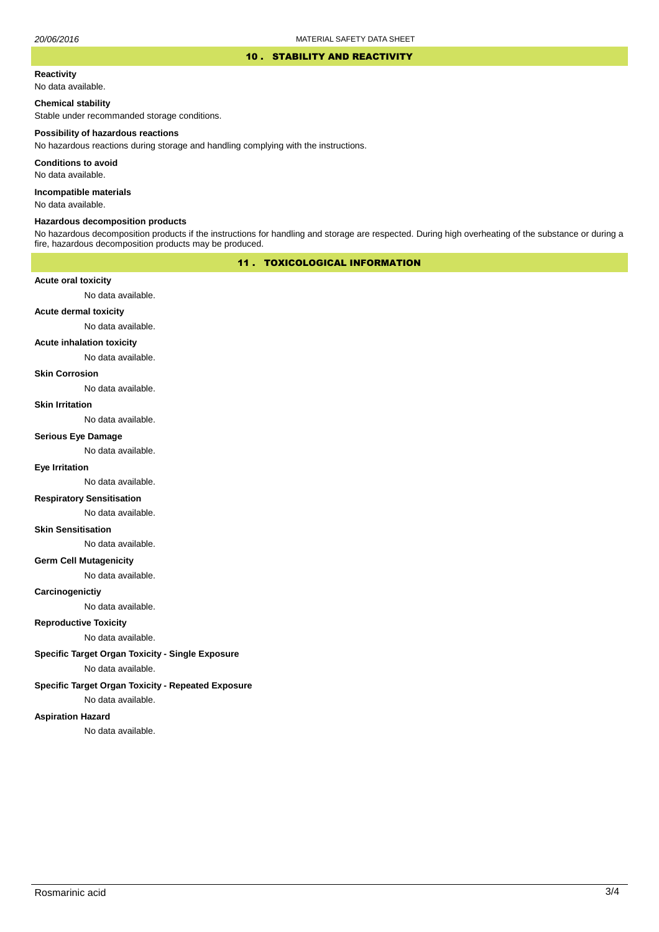#### 10 . STABILITY AND REACTIVITY

#### **Reactivity**

No data available.

## **Chemical stability**

Stable under recommanded storage conditions.

#### **Possibility of hazardous reactions**

No hazardous reactions during storage and handling complying with the instructions.

**Conditions to avoid**

No data available.

**Incompatible materials**

No data available.

## **Hazardous decomposition products**

No hazardous decomposition products if the instructions for handling and storage are respected. During high overheating of the substance or during a fire, hazardous decomposition products may be produced.

## 11 . TOXICOLOGICAL INFORMATION

## **Acute oral toxicity**

No data available.

## **Acute dermal toxicity**

No data available.

#### **Acute inhalation toxicity**

No data available.

## **Skin Corrosion**

No data available.

#### **Skin Irritation**

No data available.

## **Serious Eye Damage**

No data available.

## **Eye Irritation**

No data available.

## **Respiratory Sensitisation**

No data available.

#### **Skin Sensitisation**

No data available.

## **Germ Cell Mutagenicity**

No data available.

## **Carcinogenictiy**

No data available.

## **Reproductive Toxicity**

No data available.

## **Specific Target Organ Toxicity - Single Exposure**

No data available.

## **Specific Target Organ Toxicity - Repeated Exposure**

No data available.

#### **Aspiration Hazard**

No data available.